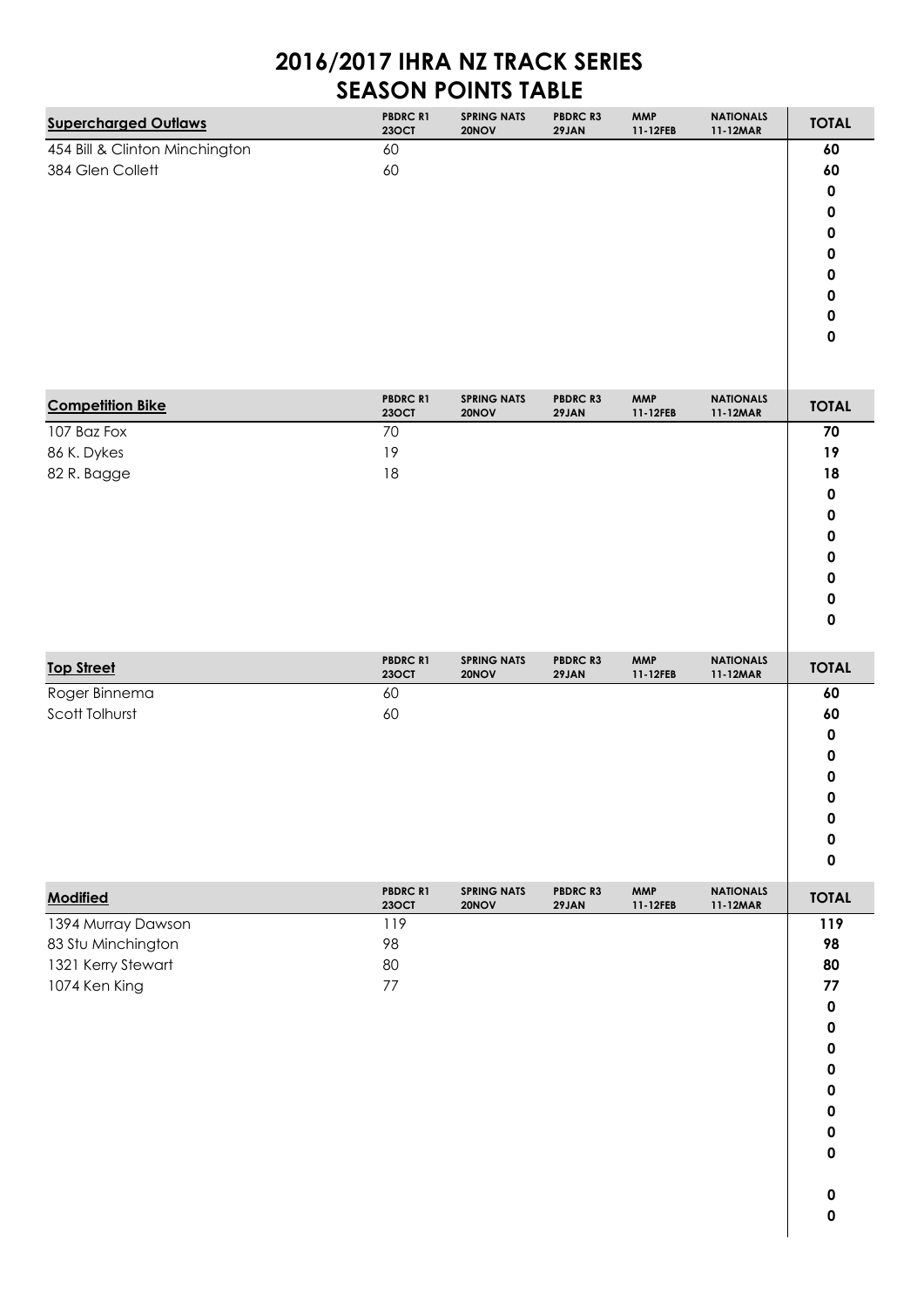## **2016/2017 IHRA NZ TRACK SERIES SEASON POINTS TABLE**

| <b>Supercharged Outlaws</b>    | <b>PBDRC R1</b><br><b>23OCT</b> | <b>SPRING NATS</b><br>20NOV | <b>PBDRC R3</b><br>29JAN | <b>MMP</b><br>11-12FEB | <b>NATIONALS</b><br>11-12MAR | <b>TOTAL</b> |
|--------------------------------|---------------------------------|-----------------------------|--------------------------|------------------------|------------------------------|--------------|
| 454 Bill & Clinton Minchington | 60                              |                             |                          |                        |                              | 60           |
| 384 Glen Collett               | 60                              |                             |                          |                        |                              | 60           |
|                                |                                 |                             |                          |                        |                              | 0            |
|                                |                                 |                             |                          |                        |                              | 0            |
|                                |                                 |                             |                          |                        |                              | 0            |
|                                |                                 |                             |                          |                        |                              | 0            |
|                                |                                 |                             |                          |                        |                              | 0            |
|                                |                                 |                             |                          |                        |                              | 0            |
|                                |                                 |                             |                          |                        |                              | 0            |
|                                |                                 |                             |                          |                        |                              | 0            |
|                                |                                 |                             |                          |                        |                              |              |

| <b>Competition Bike</b> | <b>PBDRC R1</b><br><b>23OCT</b> | <b>SPRING NATS</b><br>20NOV | <b>PBDRC R3</b><br>29JAN | <b>MMP</b><br>11-12FEB | <b>NATIONALS</b><br>11-12MAR | <b>TOTAL</b> |
|-------------------------|---------------------------------|-----------------------------|--------------------------|------------------------|------------------------------|--------------|
| 107 Baz Fox             | 70                              |                             |                          |                        |                              | $70\,$       |
| 86 K. Dykes             | 19                              |                             |                          |                        |                              | 19           |
| 82 R. Bagge             | $18\,$                          |                             |                          |                        |                              | 18           |
|                         |                                 |                             |                          |                        |                              | $\pmb{0}$    |
|                         |                                 |                             |                          |                        |                              | $\pmb{0}$    |
|                         |                                 |                             |                          |                        |                              | $\pmb{0}$    |
|                         |                                 |                             |                          |                        |                              | $\pmb{0}$    |
|                         |                                 |                             |                          |                        |                              | $\pmb{0}$    |
|                         |                                 |                             |                          |                        |                              | $\pmb{0}$    |
|                         |                                 |                             |                          |                        |                              | $\pmb{0}$    |
|                         | PBDRC R1                        | <b>SPRING NATS</b>          | PBDRC R3                 | <b>MMP</b>             | <b>NATIONALS</b>             |              |
| <b>Top Street</b>       | <b>23OCT</b>                    | 20NOV                       | 29JAN                    | 11-12FEB               | 11-12MAR                     | <b>TOTAL</b> |
| Roger Binnema           | 60                              |                             |                          |                        |                              | 60           |
| Scott Tolhurst          | 60                              |                             |                          |                        |                              | 60           |
|                         |                                 |                             |                          |                        |                              | $\pmb{0}$    |
|                         |                                 |                             |                          |                        |                              | 0            |
|                         |                                 |                             |                          |                        |                              | $\pmb{0}$    |
|                         |                                 |                             |                          |                        |                              | $\pmb{0}$    |
|                         |                                 |                             |                          |                        |                              | $\pmb{0}$    |
|                         |                                 |                             |                          |                        |                              | $\pmb{0}$    |
|                         |                                 |                             |                          |                        |                              | $\pmb{0}$    |
| <b>Modified</b>         | <b>PBDRC R1</b><br><b>23OCT</b> | <b>SPRING NATS</b><br>20NOV | PBDRC R3<br>29JAN        | <b>MMP</b><br>11-12FEB | <b>NATIONALS</b><br>11-12MAR | <b>TOTAL</b> |
| 1394 Murray Dawson      | 119                             |                             |                          |                        |                              | 119          |
| 83 Stu Minchington      | 98                              |                             |                          |                        |                              | 98           |
| 1321 Kerry Stewart      | 80                              |                             |                          |                        |                              | 80           |
| 1074 Ken King           | $77$                            |                             |                          |                        |                              | 77           |
|                         |                                 |                             |                          |                        |                              | $\pmb{0}$    |
|                         |                                 |                             |                          |                        |                              | $\pmb{0}$    |
|                         |                                 |                             |                          |                        |                              | $\pmb{0}$    |
|                         |                                 |                             |                          |                        |                              | 0            |
|                         |                                 |                             |                          |                        |                              | <sup>n</sup> |
|                         |                                 |                             |                          |                        |                              | $\pmb{0}$    |
|                         |                                 |                             |                          |                        |                              | $\pmb{0}$    |
|                         |                                 |                             |                          |                        |                              | $\pmb{0}$    |
|                         |                                 |                             |                          |                        |                              |              |
|                         |                                 |                             |                          |                        |                              | $\pmb{0}$    |
|                         |                                 |                             |                          |                        |                              | $\mathbf 0$  |
|                         |                                 |                             |                          |                        |                              |              |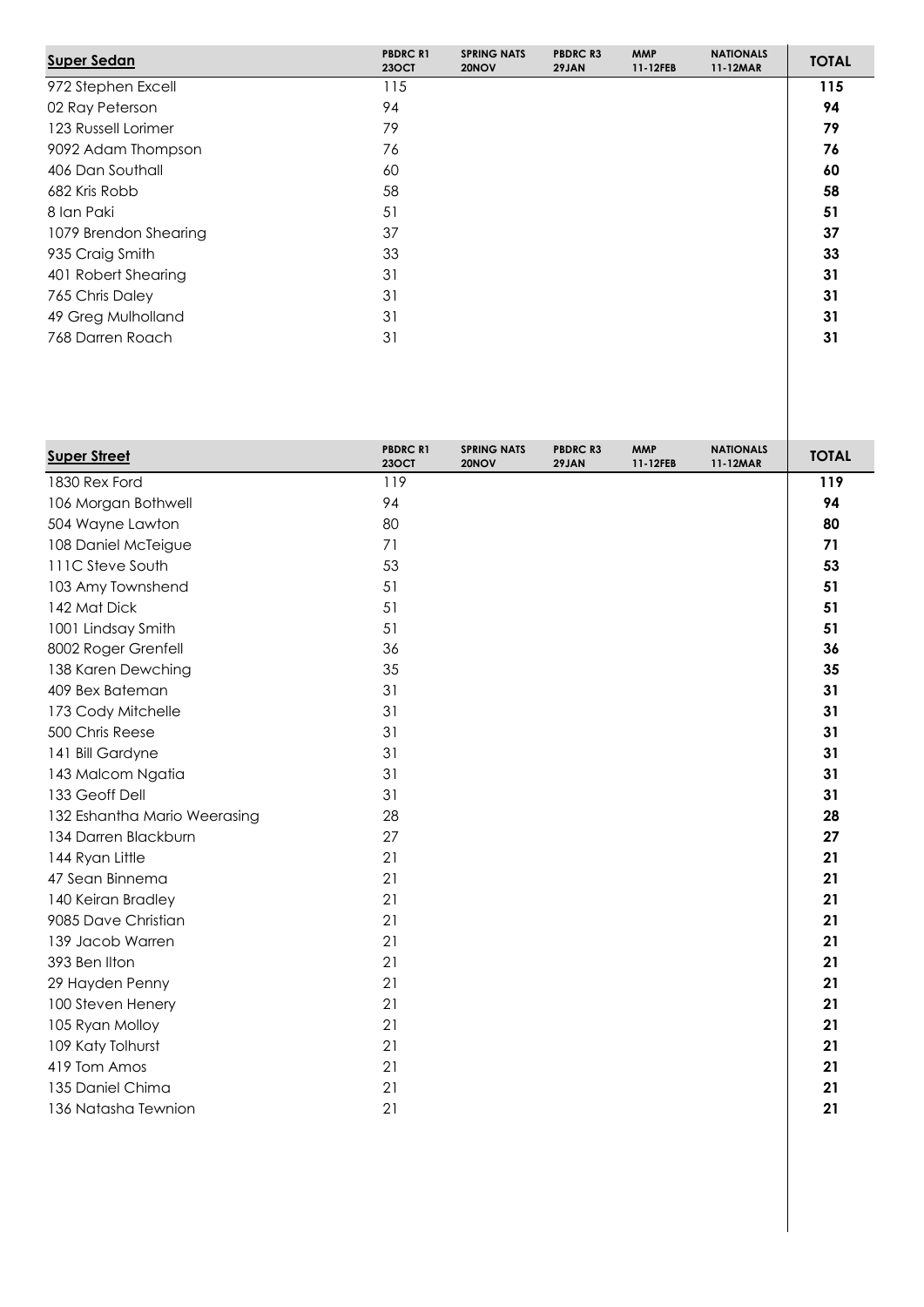| <b>Super Sedan</b>    | <b>PBDRC R1</b><br><b>230CT</b> | <b>SPRING NATS</b><br>20NOV | <b>PBDRC R3</b><br>29JAN | <b>MMP</b><br>11-12FEB | <b>NATIONALS</b><br>11-12MAR | <b>TOTAL</b> |
|-----------------------|---------------------------------|-----------------------------|--------------------------|------------------------|------------------------------|--------------|
| 972 Stephen Excell    | 115                             |                             |                          |                        |                              | 115          |
| 02 Ray Peterson       | 94                              |                             |                          |                        |                              | 94           |
| 123 Russell Lorimer   | 79                              |                             |                          |                        |                              | 79           |
| 9092 Adam Thompson    | 76                              |                             |                          |                        |                              | 76           |
| 406 Dan Southall      | 60                              |                             |                          |                        |                              | 60           |
| 682 Kris Robb         | 58                              |                             |                          |                        |                              | 58           |
| 8 Ian Paki            | 51                              |                             |                          |                        |                              | 51           |
| 1079 Brendon Shearing | 37                              |                             |                          |                        |                              | 37           |
| 935 Craig Smith       | 33                              |                             |                          |                        |                              | 33           |
| 401 Robert Shearing   | 31                              |                             |                          |                        |                              | 31           |
| 765 Chris Daley       | 31                              |                             |                          |                        |                              | 31           |
| 49 Greg Mulholland    | 31                              |                             |                          |                        |                              | 31           |
| 768 Darren Roach      | 31                              |                             |                          |                        |                              | 31           |

| <b>Super Street</b>          | <b>PBDRC R1</b><br><b>23OCT</b> | <b>SPRING NATS</b><br>20NOV | <b>PBDRC R3</b><br>29JAN | <b>MMP</b><br>11-12FEB | <b>NATIONALS</b><br>11-12MAR | <b>TOTAL</b> |
|------------------------------|---------------------------------|-----------------------------|--------------------------|------------------------|------------------------------|--------------|
| 1830 Rex Ford                | 119                             |                             |                          |                        |                              | 119          |
| 106 Morgan Bothwell          | 94                              |                             |                          |                        |                              | 94           |
| 504 Wayne Lawton             | 80                              |                             |                          |                        |                              | 80           |
| 108 Daniel McTeigue          | 71                              |                             |                          |                        |                              | 71           |
| 111C Steve South             | 53                              |                             |                          |                        |                              | 53           |
| 103 Amy Townshend            | 51                              |                             |                          |                        |                              | 51           |
| 142 Mat Dick                 | 51                              |                             |                          |                        |                              | 51           |
| 1001 Lindsay Smith           | 51                              |                             |                          |                        |                              | 51           |
| 8002 Roger Grenfell          | 36                              |                             |                          |                        |                              | 36           |
| 138 Karen Dewching           | 35                              |                             |                          |                        |                              | 35           |
| 409 Bex Bateman              | 31                              |                             |                          |                        |                              | 31           |
| 173 Cody Mitchelle           | 31                              |                             |                          |                        |                              | 31           |
| 500 Chris Reese              | 31                              |                             |                          |                        |                              | 31           |
| 141 Bill Gardyne             | 31                              |                             |                          |                        |                              | 31           |
| 143 Malcom Ngatia            | 31                              |                             |                          |                        |                              | 31           |
| 133 Geoff Dell               | 31                              |                             |                          |                        |                              | 31           |
| 132 Eshantha Mario Weerasing | 28                              |                             |                          |                        |                              | 28           |
| 134 Darren Blackburn         | 27                              |                             |                          |                        |                              | 27           |
| 144 Ryan Little              | 21                              |                             |                          |                        |                              | 21           |
| 47 Sean Binnema              | 21                              |                             |                          |                        |                              | 21           |
| 140 Keiran Bradley           | 21                              |                             |                          |                        |                              | 21           |
| 9085 Dave Christian          | 21                              |                             |                          |                        |                              | 21           |
| 139 Jacob Warren             | 21                              |                             |                          |                        |                              | 21           |
| 393 Ben Ilton                | 21                              |                             |                          |                        |                              | 21           |
| 29 Hayden Penny              | 21                              |                             |                          |                        |                              | 21           |
| 100 Steven Henery            | 21                              |                             |                          |                        |                              | 21           |
| 105 Ryan Molloy              | 21                              |                             |                          |                        |                              | 21           |
| 109 Katy Tolhurst            | 21                              |                             |                          |                        |                              | 21           |
| 419 Tom Amos                 | 21                              |                             |                          |                        |                              | 21           |
| 135 Daniel Chima             | 21                              |                             |                          |                        |                              | 21           |
| 136 Natasha Tewnion          | 21                              |                             |                          |                        |                              | 21           |